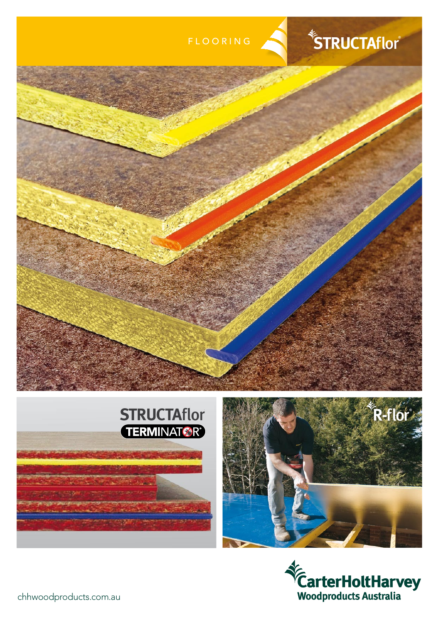







chhwoodproducts.com.au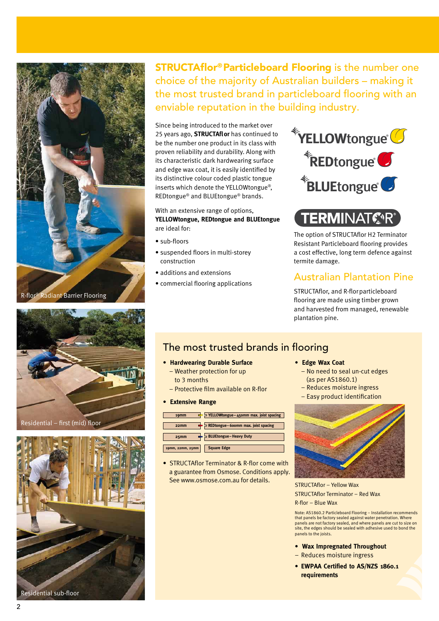

Residential - first (mid) floor



**STRUCTAflor®Particleboard Flooring is the number one** choice of the majority of Australian builders - making it the most trusted brand in particleboard flooring with an enviable reputation in the building industry.

Since being introduced to the market over 25 years ago, **STRUCTAflor** has continued to be the number one product in its class with proven reliability and durability. Along with its characteristic dark hardwearing surface and edge wax coat, it is easily identified by its distinctive colour coded plastic tongue inserts which denote the YELLOWtongue®, REDtongue<sup>®</sup> and BLUEtongue<sup>®</sup> brands.

#### With an extensive range of options, YELLOWtongue, REDtongue and BLUEtongue are ideal for:

- · sub-floors
- · suspended floors in multi-storey construction
- · additions and extensions
- commercial flooring applications



# **TERMINATOR**

The option of STRUCTAflor H2 Terminator Resistant Particleboard flooring provides a cost effective, long term defence against termite damage.

### **Australian Plantation Pine**

STRUCTAflor, and R-flor particleboard flooring are made using timber grown and harvested from managed, renewable plantation pine.

## The most trusted brands in flooring

#### • Hardwearing Durable Surface

- Weather protection for up to 3 months
- 
- Protective film available on R-flor
- Extensive Range

| 19 <sub>mm</sub>  | $\ge$ YELLOWtongue – 450mm max. joist spacing      |
|-------------------|----------------------------------------------------|
| 22 <sub>m</sub> m | $\Rightarrow$ REDtongue - 600mm max. joist spacing |
| 25 <sub>mm</sub>  | BLUEtongue - Heavy Duty                            |
| 19mm, 22mm, 25mm  | <b>Square Edge</b>                                 |

• STRUCTAflor Terminator & R-flor come with a guarantee from Osmose. Conditions apply. See www.osmose.com.au for details.

#### • Edge Wax Coat

- No need to seal un-cut edges (as per AS1860.1)
- Reduces moisture ingress
- Easy product identification



**STRUCTAflor - Yellow Wax STRUCTAflor Terminator - Red Wax** R-flor - Blue Wax

Note: AS1860.2 Particleboard Flooring - Installation recommends<br>that panels be factory sealed against water penetration. Where panels are not factory sealed, and where panels are cut to size on<br>site, the edges should be sealed with adhesive used to bond the panels to the joists.

- Wax Impregnated Throughout
- Reduces moisture ingress
- EWPAA Certified to AS/NZS 1860.1 requirements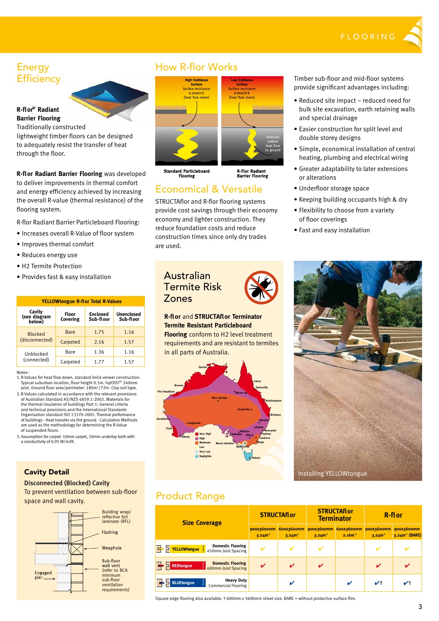

### Energy **Efficiency**

#### **R-fl or® Radiant Barrier Flooring**

Traditionally constructed

lightweight timber floors can be designed to adequately resist the transfer of heat through the floor.

**R-fl or Radiant Barrier Flooring** was developed to deliver improvements in thermal comfort and energy efficiency achieved by increasing the overall R-value (thermal resistance) of the flooring system.

R-flor Radiant Barrier Particleboard Flooring:

- Increases overall R-Value of floor system
- Improves thermal comfort
- Reduces energy use
- H2 Termite Protection
- Provides fast & easy installation

| <b>YELLOWtongue R-flor Total R-Values</b> |                          |                              |                                |  |
|-------------------------------------------|--------------------------|------------------------------|--------------------------------|--|
| Cavity<br>(see diagram<br>below)          | <b>Floor</b><br>Covering | <b>Enclosed</b><br>Sub-floor | <b>Unenclosed</b><br>Sub-floor |  |
| <b>Blocked</b><br>(disconnected)          | Bare                     | 1.75                         | 1.16                           |  |
|                                           | Carpeted                 | 2.16                         | 1.57                           |  |
| Unblocked<br>(connected)                  | Bare                     | 1.36                         | 1.16                           |  |
|                                           | Carpeted                 | 1.77                         | 1.57                           |  |

#### Notes:

- 1. R-Values for heat flow down, standard brick veneer construction. Typical suburban location, floor height 0.5m. hyJOIST® 240mm joist. Ground floor area/perimeter: 180m<sup>2</sup>/72m. Clay soil type.
- 2. R-Values calculated in accordance with the relevant provisions of Australian Standard AS/NZS 4859.1-2002. Materials for the thermal insulation of buildings Part 1: General criteria and technical provisions and the International Standards Organisation standard ISO 13370-2005. Thermal performance of buildings - Heat transfer via the ground - Calculation Methods are used as the methodology for determining the R-Value of suspended floors.
- 3. Assumption for carpet: 10mm carpet, 10mm underlay both with a conductivity of 0.05 W/m2K.

### How R-flor Works



Standard Particleboard<br>Flooring

### Economical & Versatile

STRUCTAflor and R-flor flooring systems provide cost savings through their economy economy and lighter construction. They reduce foundation costs and reduce construction times since only dry trades are used.

Timber sub-floor and mid-floor systems provide significant advantages including:

- Reduced site impact reduced need for bulk site excavation, earth retaining walls and special drainage
- Easier construction for split level and double storey designs
- Simple, economical installation of central heating, plumbing and electrical wiring
- Greater adaptability to later extensions or alterations
- Underfloor storage space
- Keeping building occupants high & dry
- Flexibility to choose from a variety of floor coverings
- Fast and easy installation

Installing YELLOWtongue

### Australian Termite Risk Zones





### Product Range

| <b>Size Coverage</b>                                                                     | <b>STRUCTAflor</b>               |                                  | <b>STRUCTAflor</b><br><b>Terminator</b> |                                  | <b>R-flor</b>                    |                                         |
|------------------------------------------------------------------------------------------|----------------------------------|----------------------------------|-----------------------------------------|----------------------------------|----------------------------------|-----------------------------------------|
|                                                                                          | 900X3600mm<br>3.24m <sup>2</sup> | 600x3600mm<br>3.24m <sup>2</sup> | 900x3600mm<br>3.24m <sup>2</sup>        | 600X3600mm<br>2.16m <sup>2</sup> | 900X3600mm<br>3.24m <sup>2</sup> | 900X3600mm<br>3.24m <sup>2</sup> (BARE) |
| <b>Domestic Flooring</b><br>$19 \text{mm}$<br><b>YELLOWtongue</b><br>450mm Joist Spacing | $\mathbf{v}$                     |                                  |                                         |                                  |                                  |                                         |
| <b>Domestic Flooring</b><br>22mm<br><b>REDtongue</b><br>600mm Joist Spacing              | V                                | ✓                                | $\boldsymbol{\mathcal{U}}$              |                                  | V                                | $\boldsymbol{\mathcal{U}}$              |
| <b>Heavy Duty</b><br>25mm<br><b>BLUEtongue</b><br><b>Commercial Flooring</b>             |                                  | ✔                                |                                         | ✔                                | $V+$                             | V <sup>†</sup>                          |

Square edge flooring also available. † 600mm x 3600mm sheet size. BARE = without protective surface film.

### Cavity Detail

#### Disconnected (Blocked) Cavity

To prevent ventilation between sub-floor space and wall cavity.